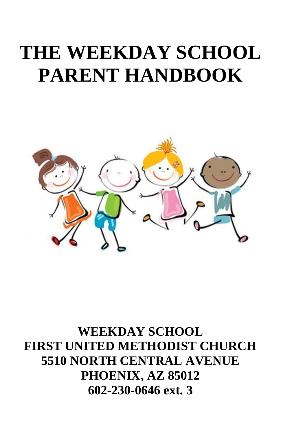# **THE WEEKDAY SCHOOL PARENT HANDBOOK**



**WEEKDAY SCHOOL FIRST UNITED METHODIST CHURCH 5510 NORTH CENTRAL AVENUE PHOENIX, AZ 85012 602-230-0646 ext. 3**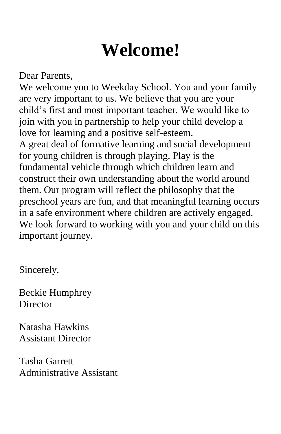# **Welcome!**

Dear Parents,

We welcome you to Weekday School. You and your family are very important to us. We believe that you are your child's first and most important teacher. We would like to join with you in partnership to help your child develop a love for learning and a positive self-esteem. A great deal of formative learning and social development for young children is through playing. Play is the fundamental vehicle through which children learn and construct their own understanding about the world around them. Our program will reflect the philosophy that the preschool years are fun, and that meaningful learning occurs in a safe environment where children are actively engaged. We look forward to working with you and your child on this important journey.

Sincerely,

Beckie Humphrey **Director** 

Natasha Hawkins Assistant Director

Tasha Garrett Administrative Assistant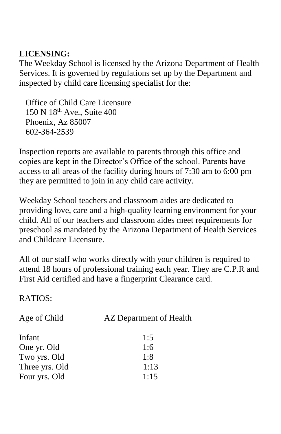#### **LICENSING:**

The Weekday School is licensed by the Arizona Department of Health Services. It is governed by regulations set up by the Department and inspected by child care licensing specialist for the:

 Office of Child Care Licensure 150 N 18th Ave., Suite 400 Phoenix, Az 85007 602-364-2539

Inspection reports are available to parents through this office and copies are kept in the Director's Office of the school. Parents have access to all areas of the facility during hours of 7:30 am to 6:00 pm they are permitted to join in any child care activity.

Weekday School teachers and classroom aides are dedicated to providing love, care and a high-quality learning environment for your child. All of our teachers and classroom aides meet requirements for preschool as mandated by the Arizona Department of Health Services and Childcare Licensure.

All of our staff who works directly with your children is required to attend 18 hours of professional training each year. They are C.P.R and First Aid certified and have a fingerprint Clearance card.

RATIOS:

| Age of Child   | AZ Department of Health |
|----------------|-------------------------|
| Infant         | 1:5                     |
| One yr. Old    | 1:6                     |
| Two yrs. Old   | 1:8                     |
| Three yrs. Old | 1:13                    |
| Four yrs. Old  | 1:15                    |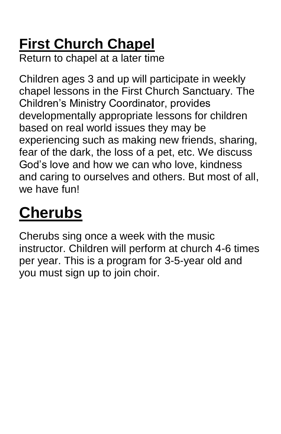# **First Church Chapel**

Return to chapel at a later time

Children ages 3 and up will participate in weekly chapel lessons in the First Church Sanctuary. The Children's Ministry Coordinator, provides developmentally appropriate lessons for children based on real world issues they may be experiencing such as making new friends, sharing, fear of the dark, the loss of a pet, etc. We discuss God's love and how we can who love, kindness and caring to ourselves and others. But most of all, we have fun!

# **Cherubs**

Cherubs sing once a week with the music instructor. Children will perform at church 4-6 times per year. This is a program for 3-5-year old and you must sign up to join choir.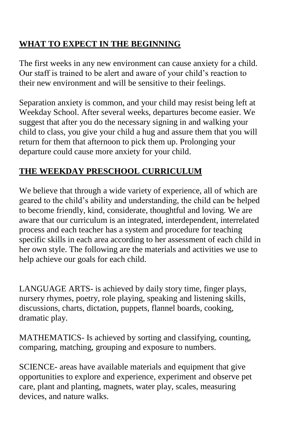# **WHAT TO EXPECT IN THE BEGINNING**

The first weeks in any new environment can cause anxiety for a child. Our staff is trained to be alert and aware of your child's reaction to their new environment and will be sensitive to their feelings.

Separation anxiety is common, and your child may resist being left at Weekday School. After several weeks, departures become easier. We suggest that after you do the necessary signing in and walking your child to class, you give your child a hug and assure them that you will return for them that afternoon to pick them up. Prolonging your departure could cause more anxiety for your child.

# **THE WEEKDAY PRESCHOOL CURRICULUM**

We believe that through a wide variety of experience, all of which are geared to the child's ability and understanding, the child can be helped to become friendly, kind, considerate, thoughtful and loving. We are aware that our curriculum is an integrated, interdependent, interrelated process and each teacher has a system and procedure for teaching specific skills in each area according to her assessment of each child in her own style. The following are the materials and activities we use to help achieve our goals for each child.

LANGUAGE ARTS- is achieved by daily story time, finger plays, nursery rhymes, poetry, role playing, speaking and listening skills, discussions, charts, dictation, puppets, flannel boards, cooking, dramatic play.

MATHEMATICS- Is achieved by sorting and classifying, counting, comparing, matching, grouping and exposure to numbers.

SCIENCE- areas have available materials and equipment that give opportunities to explore and experience, experiment and observe pet care, plant and planting, magnets, water play, scales, measuring devices, and nature walks.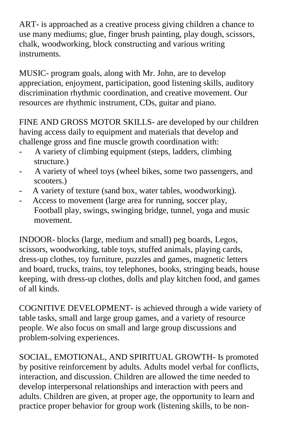ART- is approached as a creative process giving children a chance to use many mediums; glue, finger brush painting, play dough, scissors, chalk, woodworking, block constructing and various writing instruments.

MUSIC- program goals, along with Mr. John, are to develop appreciation, enjoyment, participation, good listening skills, auditory discrimination rhythmic coordination, and creative movement. Our resources are rhythmic instrument, CDs, guitar and piano.

FINE AND GROSS MOTOR SKILLS- are developed by our children having access daily to equipment and materials that develop and challenge gross and fine muscle growth coordination with:

- A variety of climbing equipment (steps, ladders, climbing structure.)
- A variety of wheel toys (wheel bikes, some two passengers, and scooters.)
- A variety of texture (sand box, water tables, woodworking).
- Access to movement (large area for running, soccer play, Football play, swings, swinging bridge, tunnel, yoga and music movement.

INDOOR- blocks (large, medium and small) peg boards, Legos, scissors, woodworking, table toys, stuffed animals, playing cards, dress-up clothes, toy furniture, puzzles and games, magnetic letters and board, trucks, trains, toy telephones, books, stringing beads, house keeping, with dress-up clothes, dolls and play kitchen food, and games of all kinds.

COGNITIVE DEVELOPMENT- is achieved through a wide variety of table tasks, small and large group games, and a variety of resource people. We also focus on small and large group discussions and problem-solving experiences.

SOCIAL, EMOTIONAL, AND SPIRITUAL GROWTH- Is promoted by positive reinforcement by adults. Adults model verbal for conflicts, interaction, and discussion. Children are allowed the time needed to develop interpersonal relationships and interaction with peers and adults. Children are given, at proper age, the opportunity to learn and practice proper behavior for group work (listening skills, to be non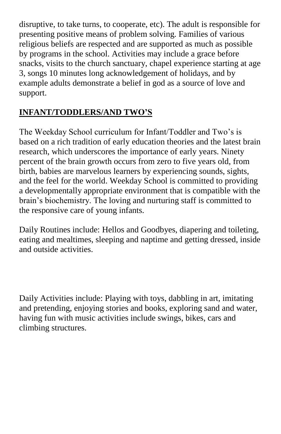disruptive, to take turns, to cooperate, etc). The adult is responsible for presenting positive means of problem solving. Families of various religious beliefs are respected and are supported as much as possible by programs in the school. Activities may include a grace before snacks, visits to the church sanctuary, chapel experience starting at age 3, songs 10 minutes long acknowledgement of holidays, and by example adults demonstrate a belief in god as a source of love and support.

### **INFANT/TODDLERS/AND TWO'S**

The Weekday School curriculum for Infant/Toddler and Two's is based on a rich tradition of early education theories and the latest brain research, which underscores the importance of early years. Ninety percent of the brain growth occurs from zero to five years old, from birth, babies are marvelous learners by experiencing sounds, sights, and the feel for the world. Weekday School is committed to providing a developmentally appropriate environment that is compatible with the brain's biochemistry. The loving and nurturing staff is committed to the responsive care of young infants.

Daily Routines include: Hellos and Goodbyes, diapering and toileting, eating and mealtimes, sleeping and naptime and getting dressed, inside and outside activities.

Daily Activities include: Playing with toys, dabbling in art, imitating and pretending, enjoying stories and books, exploring sand and water, having fun with music activities include swings, bikes, cars and climbing structures.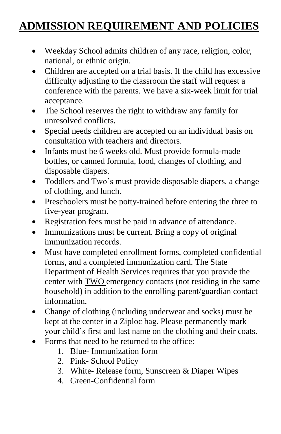# **ADMISSION REQUIREMENT AND POLICIES**

- Weekday School admits children of any race, religion, color, national, or ethnic origin.
- Children are accepted on a trial basis. If the child has excessive difficulty adjusting to the classroom the staff will request a conference with the parents. We have a six-week limit for trial acceptance.
- The School reserves the right to withdraw any family for unresolved conflicts.
- Special needs children are accepted on an individual basis on consultation with teachers and directors.
- Infants must be 6 weeks old. Must provide formula-made bottles, or canned formula, food, changes of clothing, and disposable diapers.
- Toddlers and Two's must provide disposable diapers, a change of clothing, and lunch.
- Preschoolers must be potty-trained before entering the three to five-year program.
- Registration fees must be paid in advance of attendance.
- Immunizations must be current. Bring a copy of original immunization records.
- Must have completed enrollment forms, completed confidential forms, and a completed immunization card. The State Department of Health Services requires that you provide the center with TWO emergency contacts (not residing in the same household) in addition to the enrolling parent/guardian contact information.
- Change of clothing (including underwear and socks) must be kept at the center in a Ziploc bag. Please permanently mark your child's first and last name on the clothing and their coats.
- Forms that need to be returned to the office:
	- 1. Blue- Immunization form
	- 2. Pink- School Policy
	- 3. White- Release form, Sunscreen & Diaper Wipes
	- 4. Green-Confidential form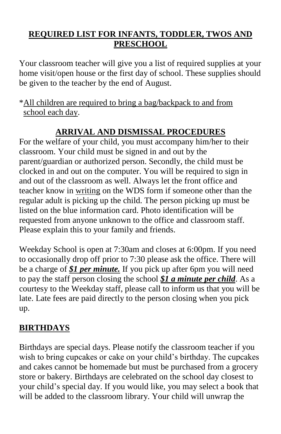### **REQUIRED LIST FOR INFANTS, TODDLER, TWOS AND PRESCHOOL**

Your classroom teacher will give you a list of required supplies at your home visit/open house or the first day of school. These supplies should be given to the teacher by the end of August.

\*All children are required to bring a bag/backpack to and from school each day.

## **ARRIVAL AND DISMISSAL PROCEDURES**

For the welfare of your child, you must accompany him/her to their classroom. Your child must be signed in and out by the parent/guardian or authorized person. Secondly, the child must be clocked in and out on the computer. You will be required to sign in and out of the classroom as well. Always let the front office and teacher know in writing on the WDS form if someone other than the regular adult is picking up the child. The person picking up must be listed on the blue information card. Photo identification will be requested from anyone unknown to the office and classroom staff. Please explain this to your family and friends.

Weekday School is open at 7:30am and closes at 6:00pm. If you need to occasionally drop off prior to 7:30 please ask the office. There will be a charge of *\$1 per minute.* If you pick up after 6pm you will need to pay the staff person closing the school *\$1 a minute per child*. As a courtesy to the Weekday staff, please call to inform us that you will be late. Late fees are paid directly to the person closing when you pick up.

## **BIRTHDAYS**

Birthdays are special days. Please notify the classroom teacher if you wish to bring cupcakes or cake on your child's birthday. The cupcakes and cakes cannot be homemade but must be purchased from a grocery store or bakery. Birthdays are celebrated on the school day closest to your child's special day. If you would like, you may select a book that will be added to the classroom library. Your child will unwrap the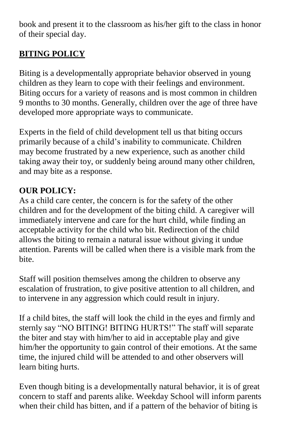book and present it to the classroom as his/her gift to the class in honor of their special day.

# **BITING POLICY**

Biting is a developmentally appropriate behavior observed in young children as they learn to cope with their feelings and environment. Biting occurs for a variety of reasons and is most common in children 9 months to 30 months. Generally, children over the age of three have developed more appropriate ways to communicate.

Experts in the field of child development tell us that biting occurs primarily because of a child's inability to communicate. Children may become frustrated by a new experience, such as another child taking away their toy, or suddenly being around many other children, and may bite as a response.

## **OUR POLICY:**

As a child care center, the concern is for the safety of the other children and for the development of the biting child. A caregiver will immediately intervene and care for the hurt child, while finding an acceptable activity for the child who bit. Redirection of the child allows the biting to remain a natural issue without giving it undue attention. Parents will be called when there is a visible mark from the bite.

Staff will position themselves among the children to observe any escalation of frustration, to give positive attention to all children, and to intervene in any aggression which could result in injury.

If a child bites, the staff will look the child in the eyes and firmly and sternly say "NO BITING! BITING HURTS!" The staff will separate the biter and stay with him/her to aid in acceptable play and give him/her the opportunity to gain control of their emotions. At the same time, the injured child will be attended to and other observers will learn biting hurts.

Even though biting is a developmentally natural behavior, it is of great concern to staff and parents alike. Weekday School will inform parents when their child has bitten, and if a pattern of the behavior of biting is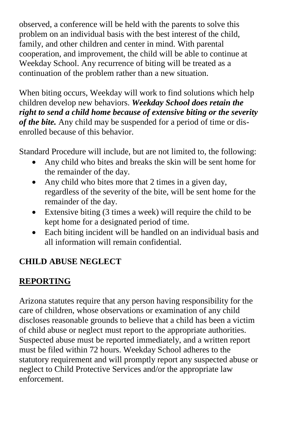observed, a conference will be held with the parents to solve this problem on an individual basis with the best interest of the child, family, and other children and center in mind. With parental cooperation, and improvement, the child will be able to continue at Weekday School. Any recurrence of biting will be treated as a continuation of the problem rather than a new situation.

When biting occurs, Weekday will work to find solutions which help children develop new behaviors. *Weekday School does retain the right to send a child home because of extensive biting or the severity of the bite.* Any child may be suspended for a period of time or disenrolled because of this behavior.

Standard Procedure will include, but are not limited to, the following:

- Any child who bites and breaks the skin will be sent home for the remainder of the day.
- Any child who bites more that 2 times in a given day, regardless of the severity of the bite, will be sent home for the remainder of the day.
- Extensive biting (3 times a week) will require the child to be kept home for a designated period of time.
- Each biting incident will be handled on an individual basis and all information will remain confidential.

## **CHILD ABUSE NEGLECT**

# **REPORTING**

Arizona statutes require that any person having responsibility for the care of children, whose observations or examination of any child discloses reasonable grounds to believe that a child has been a victim of child abuse or neglect must report to the appropriate authorities. Suspected abuse must be reported immediately, and a written report must be filed within 72 hours. Weekday School adheres to the statutory requirement and will promptly report any suspected abuse or neglect to Child Protective Services and/or the appropriate law enforcement.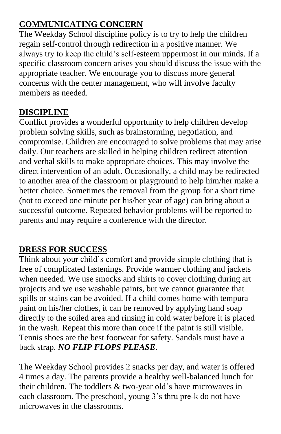## **COMMUNICATING CONCERN**

The Weekday School discipline policy is to try to help the children regain self-control through redirection in a positive manner. We always try to keep the child's self-esteem uppermost in our minds. If a specific classroom concern arises you should discuss the issue with the appropriate teacher. We encourage you to discuss more general concerns with the center management, who will involve faculty members as needed.

### **DISCIPLINE**

Conflict provides a wonderful opportunity to help children develop problem solving skills, such as brainstorming, negotiation, and compromise. Children are encouraged to solve problems that may arise daily. Our teachers are skilled in helping children redirect attention and verbal skills to make appropriate choices. This may involve the direct intervention of an adult. Occasionally, a child may be redirected to another area of the classroom or playground to help him/her make a better choice. Sometimes the removal from the group for a short time (not to exceed one minute per his/her year of age) can bring about a successful outcome. Repeated behavior problems will be reported to parents and may require a conference with the director.

## **DRESS FOR SUCCESS**

Think about your child's comfort and provide simple clothing that is free of complicated fastenings. Provide warmer clothing and jackets when needed. We use smocks and shirts to cover clothing during art projects and we use washable paints, but we cannot guarantee that spills or stains can be avoided. If a child comes home with tempura paint on his/her clothes, it can be removed by applying hand soap directly to the soiled area and rinsing in cold water before it is placed in the wash. Repeat this more than once if the paint is still visible. Tennis shoes are the best footwear for safety. Sandals must have a back strap. *NO FLIP FLOPS PLEASE*.

The Weekday School provides 2 snacks per day, and water is offered 4 times a day. The parents provide a healthy well-balanced lunch for their children. The toddlers & two-year old's have microwaves in each classroom. The preschool, young 3's thru pre-k do not have microwaves in the classrooms.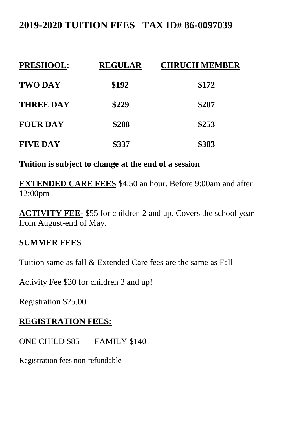# **2019-2020 TUITION FEES TAX ID# 86-0097039**

| <b>PRESHOOL:</b> | <b>REGULAR</b> | <b>CHRUCH MEMBER</b> |
|------------------|----------------|----------------------|
| <b>TWO DAY</b>   | \$192          | \$172                |
| <b>THREE DAY</b> | \$229          | \$207                |
| <b>FOUR DAY</b>  | \$288          | \$253                |
| <b>FIVE DAY</b>  | \$337          | \$303                |

**Tuition is subject to change at the end of a session**

**EXTENDED CARE FEES** \$4.50 an hour. Before 9:00am and after 12:00pm

**ACTIVITY FEE-** \$55 for children 2 and up. Covers the school year from August-end of May.

#### **SUMMER FEES**

Tuition same as fall & Extended Care fees are the same as Fall

Activity Fee \$30 for children 3 and up!

Registration \$25.00

#### **REGISTRATION FEES:**

ONE CHILD \$85 FAMILY \$140

Registration fees non-refundable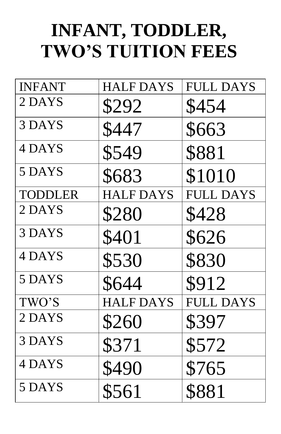# **INFANT, TODDLER, TWO'S TUITION FEES**

| <b>INFANT</b>  | <b>HALF DAYS</b> | <b>FULL DAYS</b> |
|----------------|------------------|------------------|
| 2 DAYS         | \$292            | \$454            |
| 3 DAYS         | \$447            | \$663            |
| 4 DAYS         | \$549            | \$881            |
| 5 DAYS         | \$683            | \$1010           |
| <b>TODDLER</b> | <b>HALF DAYS</b> | <b>FULL DAYS</b> |
| 2 DAYS         | \$280            | \$428            |
| 3 DAYS         | \$401            | \$626            |
| 4 DAYS         | \$530            | \$830            |
| 5 DAYS         | \$644            | \$912            |
| TWO'S          | <b>HALF DAYS</b> | <b>FULL DAYS</b> |
| 2 DAYS         | \$260            | \$397            |
| 3 DAYS         | \$371            | \$572            |
| 4 DAYS         | \$490            | \$765            |
| 5 DAYS         | \$561            | \$881            |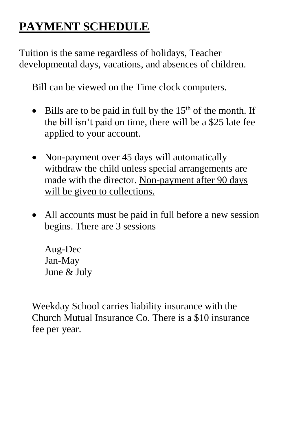# **PAYMENT SCHEDULE**

Tuition is the same regardless of holidays, Teacher developmental days, vacations, and absences of children.

Bill can be viewed on the Time clock computers.

- $\bullet$  Bills are to be paid in full by the 15<sup>th</sup> of the month. If the bill isn't paid on time, there will be a \$25 late fee applied to your account.
- Non-payment over 45 days will automatically withdraw the child unless special arrangements are made with the director. Non-payment after 90 days will be given to collections.
- All accounts must be paid in full before a new session begins. There are 3 sessions

Aug-Dec Jan-May June & July

Weekday School carries liability insurance with the Church Mutual Insurance Co. There is a \$10 insurance fee per year.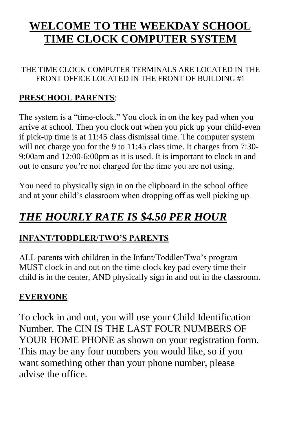# **WELCOME TO THE WEEKDAY SCHOOL TIME CLOCK COMPUTER SYSTEM**

#### THE TIME CLOCK COMPUTER TERMINALS ARE LOCATED IN THE FRONT OFFICE LOCATED IN THE FRONT OF BUILDING #1

### **PRESCHOOL PARENTS**:

The system is a "time-clock." You clock in on the key pad when you arrive at school. Then you clock out when you pick up your child-even if pick-up time is at 11:45 class dismissal time. The computer system will not charge you for the 9 to 11:45 class time. It charges from 7:30-9:00am and 12:00-6:00pm as it is used. It is important to clock in and out to ensure you're not charged for the time you are not using.

You need to physically sign in on the clipboard in the school office and at your child's classroom when dropping off as well picking up.

# *THE HOURLY RATE IS \$4.50 PER HOUR*

## **INFANT/TODDLER/TWO'S PARENTS**

ALL parents with children in the Infant/Toddler/Two's program MUST clock in and out on the time-clock key pad every time their child is in the center, AND physically sign in and out in the classroom.

## **EVERYONE**

To clock in and out, you will use your Child Identification Number. The CIN IS THE LAST FOUR NUMBERS OF YOUR HOME PHONE as shown on your registration form. This may be any four numbers you would like, so if you want something other than your phone number, please advise the office.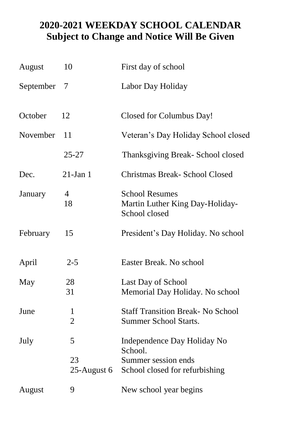# **2020-2021 WEEKDAY SCHOOL CALENDAR Subject to Change and Notice Will Be Given**

| August    | 10                             | First day of school                                                       |
|-----------|--------------------------------|---------------------------------------------------------------------------|
| September | 7                              | Labor Day Holiday                                                         |
| October   | 12                             | Closed for Columbus Day!                                                  |
| November  | 11                             | Veteran's Day Holiday School closed                                       |
|           | $25 - 27$                      | Thanksgiving Break-School closed                                          |
| Dec.      | $21$ -Jan 1                    | Christmas Break- School Closed                                            |
| January   | $\overline{4}$<br>18           | <b>School Resumes</b><br>Martin Luther King Day-Holiday-<br>School closed |
| February  | 15                             | President's Day Holiday. No school                                        |
| April     | $2 - 5$                        | Easter Break. No school                                                   |
| May       | 28<br>31                       | Last Day of School<br>Memorial Day Holiday. No school                     |
| June      | $\mathbf{1}$<br>$\overline{2}$ | <b>Staff Transition Break- No School</b><br><b>Summer School Starts.</b>  |
| July      | 5                              | Independence Day Holiday No<br>School.                                    |
|           | 23<br>25-August 6              | Summer session ends<br>School closed for refurbishing                     |
| August    | 9                              | New school year begins                                                    |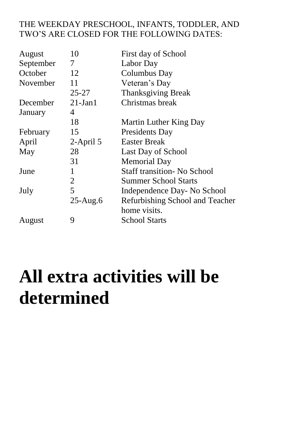#### THE WEEKDAY PRESCHOOL, INFANTS, TODDLER, AND TWO'S ARE CLOSED FOR THE FOLLOWING DATES:

| August    | 10           | First day of School                |
|-----------|--------------|------------------------------------|
| September | 7            | Labor Day                          |
| October   | 12           | Columbus Day                       |
| November  | 11           | Veteran's Day                      |
|           | $25 - 27$    | <b>Thanksgiving Break</b>          |
| December  | $21-Jan1$    | Christmas break                    |
| January   | 4            |                                    |
|           | 18           | Martin Luther King Day             |
| February  | 15           | Presidents Day                     |
| April     | $2$ -April 5 | <b>Easter Break</b>                |
| May       | 28           | Last Day of School                 |
|           | 31           | <b>Memorial Day</b>                |
| June      | 1            | <b>Staff transition- No School</b> |
|           | 2            | <b>Summer School Starts</b>        |
| July      | 5            | Independence Day- No School        |
|           | $25-Aug.6$   | Refurbishing School and Teacher    |
|           |              | home visits.                       |
| August    | 9            | School Starts                      |
|           |              |                                    |

# **All extra activities will be determined**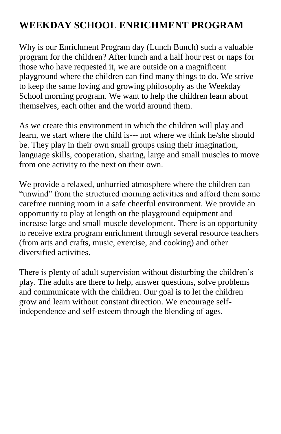# **WEEKDAY SCHOOL ENRICHMENT PROGRAM**

Why is our Enrichment Program day (Lunch Bunch) such a valuable program for the children? After lunch and a half hour rest or naps for those who have requested it, we are outside on a magnificent playground where the children can find many things to do. We strive to keep the same loving and growing philosophy as the Weekday School morning program. We want to help the children learn about themselves, each other and the world around them.

As we create this environment in which the children will play and learn, we start where the child is--- not where we think he/she should be. They play in their own small groups using their imagination, language skills, cooperation, sharing, large and small muscles to move from one activity to the next on their own.

We provide a relaxed, unhurried atmosphere where the children can "unwind" from the structured morning activities and afford them some carefree running room in a safe cheerful environment. We provide an opportunity to play at length on the playground equipment and increase large and small muscle development. There is an opportunity to receive extra program enrichment through several resource teachers (from arts and crafts, music, exercise, and cooking) and other diversified activities.

There is plenty of adult supervision without disturbing the children's play. The adults are there to help, answer questions, solve problems and communicate with the children. Our goal is to let the children grow and learn without constant direction. We encourage selfindependence and self-esteem through the blending of ages.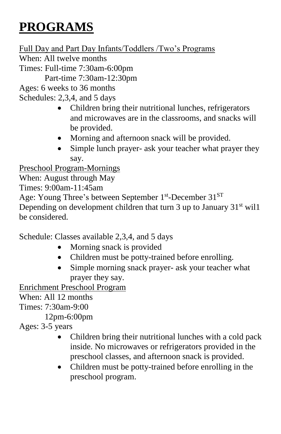# **PROGRAMS**

Full Day and Part Day Infants/Toddlers /Two's Programs When: All twelve months

Times: Full-time 7:30am-6:00pm Part-time 7:30am-12:30pm

Ages: 6 weeks to 36 months

Schedules: 2,3,4, and 5 days

- Children bring their nutritional lunches, refrigerators and microwaves are in the classrooms, and snacks will be provided.
- Morning and afternoon snack will be provided.
- Simple lunch prayer- ask your teacher what prayer they say.

Preschool Program-Mornings

When: August through May

Times: 9:00am-11:45am

Age: Young Three's between September 1<sup>st</sup>-December 31<sup>ST</sup>

Depending on development children that turn 3 up to January  $31<sup>st</sup>$  will be considered.

Schedule: Classes available 2,3,4, and 5 days

- Morning snack is provided
- Children must be potty-trained before enrolling.
- Simple morning snack prayer- ask your teacher what prayer they say.

Enrichment Preschool Program

When: All 12 months

Times: 7:30am-9:00

12pm-6:00pm

Ages: 3-5 years

- Children bring their nutritional lunches with a cold pack inside. No microwaves or refrigerators provided in the preschool classes, and afternoon snack is provided.
- Children must be potty-trained before enrolling in the preschool program.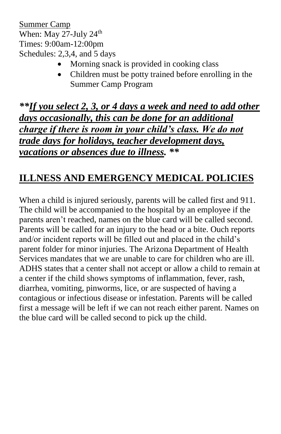Summer Camp When: May 27-July 24<sup>th</sup> Times: 9:00am-12:00pm Schedules: 2,3,4, and 5 days

- Morning snack is provided in cooking class
- Children must be potty trained before enrolling in the Summer Camp Program

*\*\*If you select 2, 3, or 4 days a week and need to add other days occasionally, this can be done for an additional charge if there is room in your child's class. We do not trade days for holidays, teacher development days, vacations or absences due to illness. \*\**

# **ILLNESS AND EMERGENCY MEDICAL POLICIES**

When a child is injured seriously, parents will be called first and 911. The child will be accompanied to the hospital by an employee if the parents aren't reached, names on the blue card will be called second. Parents will be called for an injury to the head or a bite. Ouch reports and/or incident reports will be filled out and placed in the child's parent folder for minor injuries. The Arizona Department of Health Services mandates that we are unable to care for children who are ill. ADHS states that a center shall not accept or allow a child to remain at a center if the child shows symptoms of inflammation, fever, rash, diarrhea, vomiting, pinworms, lice, or are suspected of having a contagious or infectious disease or infestation. Parents will be called first a message will be left if we can not reach either parent. Names on the blue card will be called second to pick up the child.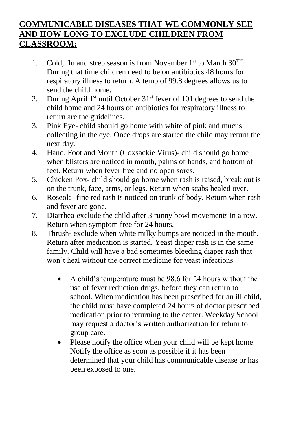#### **COMMUNICABLE DISEASES THAT WE COMMONLY SEE AND HOW LONG TO EXCLUDE CHILDREN FROM CLASSROOM:**

- 1. Cold, flu and strep season is from November  $1<sup>st</sup>$  to March  $30<sup>TH</sup>$ . During that time children need to be on antibiotics 48 hours for respiratory illness to return. A temp of 99.8 degrees allows us to send the child home.
- 2. During April  $1<sup>st</sup>$  until October  $31<sup>st</sup>$  fever of 101 degrees to send the child home and 24 hours on antibiotics for respiratory illness to return are the guidelines.
- 3. Pink Eye- child should go home with white of pink and mucus collecting in the eye. Once drops are started the child may return the next day.
- 4. Hand, Foot and Mouth (Coxsackie Virus)- child should go home when blisters are noticed in mouth, palms of hands, and bottom of feet. Return when fever free and no open sores.
- 5. Chicken Pox- child should go home when rash is raised, break out is on the trunk, face, arms, or legs. Return when scabs healed over.
- 6. Roseola- fine red rash is noticed on trunk of body. Return when rash and fever are gone.
- 7. Diarrhea-exclude the child after 3 runny bowl movements in a row. Return when symptom free for 24 hours.
- 8. Thrush- exclude when white milky bumps are noticed in the mouth. Return after medication is started. Yeast diaper rash is in the same family. Child will have a bad sometimes bleeding diaper rash that won't heal without the correct medicine for yeast infections.
	- A child's temperature must be 98.6 for 24 hours without the use of fever reduction drugs, before they can return to school. When medication has been prescribed for an ill child, the child must have completed 24 hours of doctor prescribed medication prior to returning to the center. Weekday School may request a doctor's written authorization for return to group care.
	- Please notify the office when your child will be kept home. Notify the office as soon as possible if it has been determined that your child has communicable disease or has been exposed to one.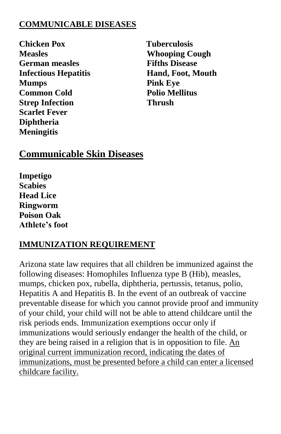#### **COMMUNICABLE DISEASES**

**Chicken Pox** Tuberculosis **Measles Whooping Cough German measles Fifths Disease Infectious Hepatitis Hand, Foot, Mouth Mumps** Pink Eye **Common Cold Polio Mellitus Strep Infection Thrush Scarlet Fever Diphtheria Meningitis**

# **Communicable Skin Diseases**

**Impetigo Scabies Head Lice Ringworm Poison Oak Athlete's foot** 

### **IMMUNIZATION REQUIREMENT**

Arizona state law requires that all children be immunized against the following diseases: Homophiles Influenza type B (Hib), measles, mumps, chicken pox, rubella, diphtheria, pertussis, tetanus, polio, Hepatitis A and Hepatitis B. In the event of an outbreak of vaccine preventable disease for which you cannot provide proof and immunity of your child, your child will not be able to attend childcare until the risk periods ends. Immunization exemptions occur only if immunizations would seriously endanger the health of the child, or they are being raised in a religion that is in opposition to file. An original current immunization record, indicating the dates of immunizations, must be presented before a child can enter a licensed childcare facility.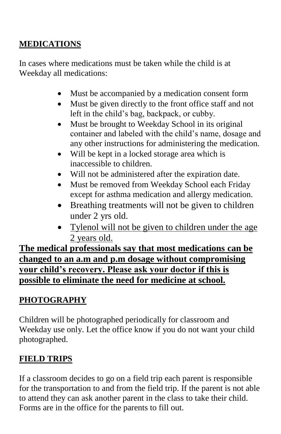## **MEDICATIONS**

In cases where medications must be taken while the child is at Weekday all medications:

- Must be accompanied by a medication consent form
- Must be given directly to the front office staff and not left in the child's bag, backpack, or cubby.
- Must be brought to Weekday School in its original container and labeled with the child's name, dosage and any other instructions for administering the medication.
- Will be kept in a locked storage area which is inaccessible to children.
- Will not be administered after the expiration date.
- Must be removed from Weekday School each Friday except for asthma medication and allergy medication.
- Breathing treatments will not be given to children under 2 yrs old.
- Tylenol will not be given to children under the age 2 years old.

**The medical professionals say that most medications can be changed to an a.m and p.m dosage without compromising your child's recovery. Please ask your doctor if this is possible to eliminate the need for medicine at school.**

# **PHOTOGRAPHY**

Children will be photographed periodically for classroom and Weekday use only. Let the office know if you do not want your child photographed.

## **FIELD TRIPS**

If a classroom decides to go on a field trip each parent is responsible for the transportation to and from the field trip. If the parent is not able to attend they can ask another parent in the class to take their child. Forms are in the office for the parents to fill out.